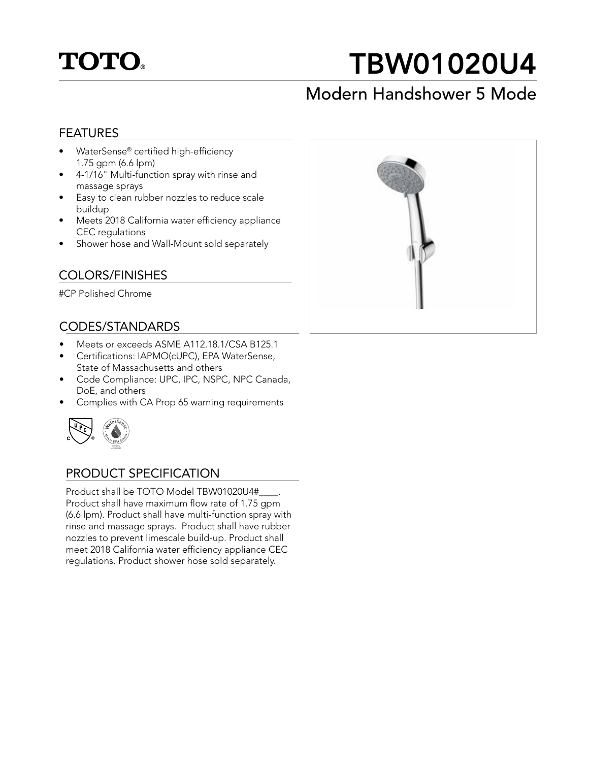

# TBW01020U4

### Modern Handshower 5 Mode

### FEATURES

- WaterSense® certified high-efficiency 1.75 gpm (6.6 lpm)
- 4-1/16" Multi-function spray with rinse and massage sprays
- Easy to clean rubber nozzles to reduce scale buildup
- Meets 2018 California water efficiency appliance CEC regulations
- Shower hose and Wall-Mount sold separately

### COLORS/FINISHES

#CP Polished Chrome

### CODES/STANDARDS

- Meets or exceeds ASME A112.18.1/CSA B125.1
- Certifications: IAPMO(cUPC), EPA WaterSense, State of Massachusetts and others
- Code Compliance: UPC, IPC, NSPC, NPC Canada, DoE, and others
- Complies with CA Prop 65 warning requirements



### PRODUCT SPECIFICATION

Product shall be TOTO Model TBW01020U4#\_\_\_\_. Product shall have maximum flow rate of 1.75 gpm (6.6 lpm). Product shall have multi-function spray with rinse and massage sprays. Product shall have rubber nozzles to prevent limescale build-up. Product shall meet 2018 California water efficiency appliance CEC regulations. Product shower hose sold separately.